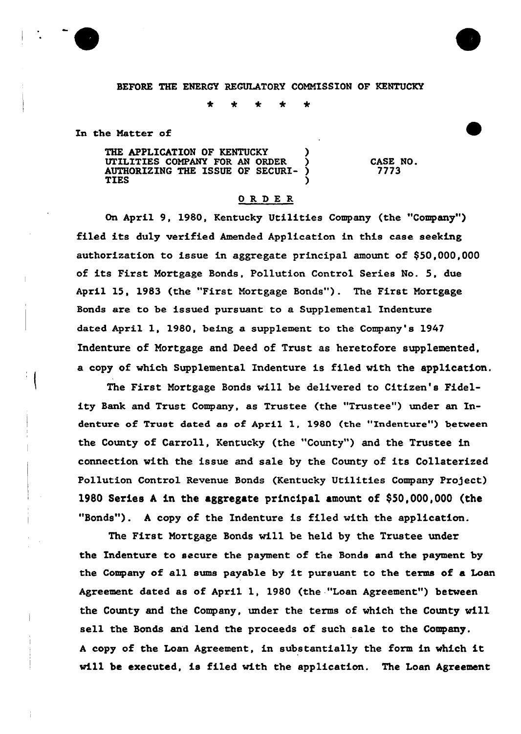BEFORE THE ENERCY REGULATORY COMMISSION OF KENTUCKY

÷ ♣ 4

In the Matter of

THE APPLICATION OF KENTUCKY UTILITIES COMPANY FOR AN ORDER ) AUTHORIZING THE ISSUE OF SECURI-  $\S$ TIES )

CASE NO. 7773

## ORDER

On April 9, 1980, Kentucky Utilities Company (the "Company") filed its duly verified Amended Application in this case seeking authorization to issue in aggregate principal amount of \$50,000,000 of its First Mortgage Bonds, Pollution Control Series No. 5, due April 15, 1983 (the "First Mortgage Bonds"). The First Mortgage Bonds are to be issued pursuant to a Supplemental Indenture dated April 1, 1980, being a supp1ement to the Company's 1947 Indenture of Mortgage and Deed of Trust as heretofore supplemented, a copy of which Supplemental Indenture is filed with the application.

The First Mortgage Bonds will be delivered to Citizen's Fidelity Bank and Trust Company, as Trustee (the "Trustee") under an Indenture of Trust dated as of April 1, 1980 (the "Indenture") between the County of Carroll, Kentucky (the "County") and the Trustee in connection with the issue and sale by the County of its Collaterized Pollution Control Revenue Bonds (Kentucky Utilities Company Project) 1980 Series <sup>A</sup> in the aggregate principal amount of \$5Q,OQO,QOQ (the "Bonds"). A copy of the Indenture is filed with the application.

The First Mortgage Bonds will be held by the Trustee under the Indenture to secure the payment of the Bonds and the payment by the Company of all sums payable by it pursuant to the terms of <sup>a</sup> Loan Agreement dated as of April 1, 1980 (the "Loan Agreement") between the County and the Company, under the terms of which the County will sell the Bonds and lend the proceeds of such sale to the Company. <sup>A</sup> copy of the Loan Agreement, in substantially the form in which it will be executed, is filed with the application. The Loan Agreement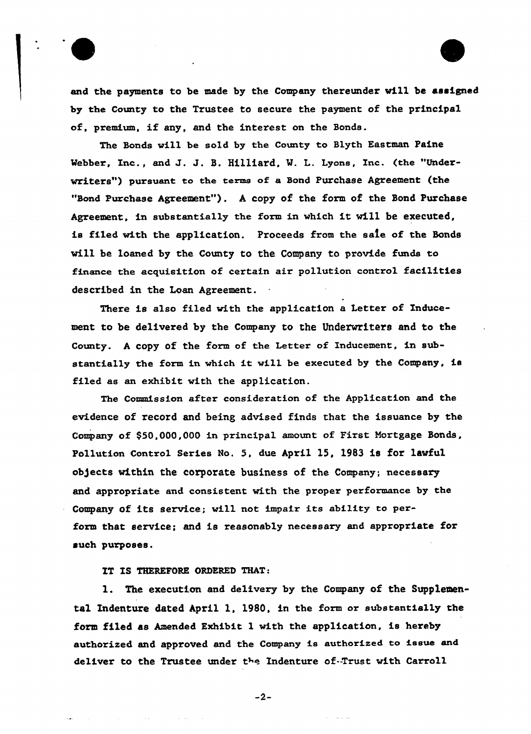

and the payments to be made by the Company thereunder will be assigned by the County to the Trustee to secure the payment of the principal of, premium, if any, and the interest on the Bonds.

The Bonds vill be sold by the County to Blyth Eastman Paine Webber, Inc., and J. J. S. Hilliard, W. L. Lyons, Inc. (the "Underwriters") pursuant to the terms of a Bond Purchase Agreement (the "Bond Purchase Agreement"). A copy of the form of the Bond Purchase Agreement, in substantially the form in which it will be executed, is filed with the application. Proceeds from the safe of the Bonds will be loaned by the County to the Company to provide funds to finance the acquisition of certain air pollution control facilities described in the Loan Agreement.

There is also filed with the application a Letter of Inducement to be delivered by the Company to the Underwriters and to the County. <sup>A</sup> copy of the form of the Letter of Inducement, in substantially the form in which it will be executed by the Company, is filed as an exhibit vith the application.

The Commission after consideration of the Application and the evidence of record and being advised finds that the issuance by the Company of \$50,000,000 in principal amount of First Mortgage Sonds, Pollution Control Series No. 5, due April 15, 1983 is for lawful ob)ects within the corporate business of the Company; necessary and appropriate and consistent with the proper performance by the Company of its service; will not impair its ability to perform that service; and is reasonably necessary and appropriate for such purposes.

IT IS THEREFORE ORDERED THAT:

 $\sim 10^{11}$ 

1. The execution and delivery by the Company of the Supplemental Indenture dated April 1, 1980, in the form or substantially the form filed as Amended Exhibit 1 with the application, is hereby authorized and approved and the Company is authorised to issue and deliver to the Trustee under the Indenture of-Trust with Carroll

 $-2-$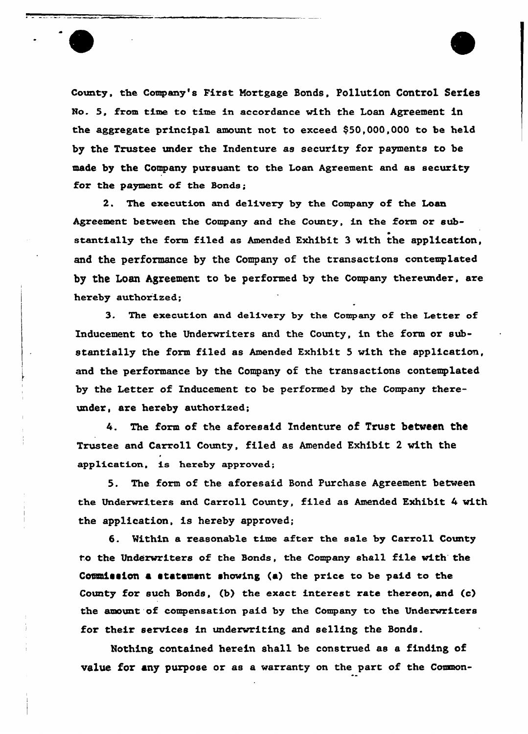County. the Company's First Mortgage Bonds, Po11ution Control Series No. 5. from time to time in accordance with the Loan Agreement in the aggregate principal amount not to exceed \$50,000,000 to be held by the Trustee under the Indenture as security for payments to be made by the Company pursuant to the Loan Agreement and as security for the payment of the Bonds;

2. The execution and delivery by the Company of the Loan Agreement between the Company and the County, in the form or substantially the form filed as Amended Exhibit 3 with the application, and the performance by the Company of the transactions contemplated by the Loan Agreement to be performed by the Company thereunder, are hereby authorized;

3. The execution and delivery by the Company of the Letter of Inducement to the Underwriters and the County, in the form or substantially the form filed as Amended Exhibit 5 with the application, and the performance by the Company of the transactions contemplated by the Letter of Inducement to be performed by the Company thereunder, axe hereby authorized;

4. The form of the aforesaid Indenture of Trust between the Trustee and Carxoll County, filed as Amended Exhibit 2 with the application, is hereby approved;

5. The form of the aforesaid Bond Purchase Agreement between the Underwriters and Carroll County, filed as Amended Exhibit 4 with the application, is hereby approved;

6. Within a reasonable time after the sale by Carroll County to the Underwriters of the Bonds, the Company shall file with the Commission a statement showing (a) the price to be paid to the County for such Bonds, (b) the exact interest rate thereon, and (c) the amount of compensation paid by the Company to the Underwriters for their services in underwriting and selling the Bonds.

Hothing contained herein sha11 be construed as a finding of value for any purpose or as a warranty on the part of the Common-